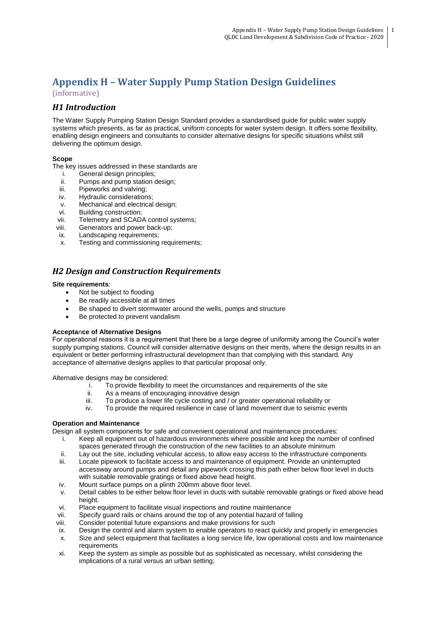# **Appendix H – Water Supply Pump Station Design Guidelines** (informative)

# *H1 Introduction*

The Water Supply Pumping Station Design Standard provides a standardised guide for public water supply systems which presents, as far as practical, uniform concepts for water system design. It offers some flexibility, enabling design engineers and consultants to consider alternative designs for specific situations whilst still delivering the optimum design.

### **Scope**

The key issues addressed in these standards are

- i. General design principles;
- ii. Pumps and pump station design;<br>iii. Pipeworks and valving:
- iii. Pipeworks and valving;<br>iv. Hydraulic consideration
- Hydraulic considerations;
- v. Mechanical and electrical design;
- vi. Building construction;
- vii. Telemetry and SCADA control systems;
- viii. Generators and power back-up;
- ix. Landscaping requirements;
- x. Testing and commissioning requirements;

## *H2 Design and Construction Requirements*

#### **Site requirements**:

- Not be subject to flooding
- Be readily accessible at all times
- Be shaped to divert stormwater around the wells, pumps and structure
- Be protected to prevent vandalism

#### **Accepta**n**ce of Alternative Designs**

For operational reasons it is a requirement that there be a large degree of uniformity among the Council's water supply pumping stations. Council will consider alternative designs on their merits, where the design results in an equivalent or better performing infrastructural development than that complying with this standard. Any acceptance of alternative designs applies to that particular proposal only.

Alternative designs may be considered:

- i. To provide flexibility to meet the circumstances and requirements of the site
- ii. As a means of encouraging innovative design<br>iii. To produce a lower life cycle costing and / or o
- iii. To produce a lower life cycle costing and / or greater operational reliability or iv. To provide the required resilience in case of land movement due to seismic e
- To provide the required resilience in case of land movement due to seismic events

### **Operation and Maintenance**

Design all system components for safe and convenient operational and maintenance procedures:

- i. Keep all equipment out of hazardous environments where possible and keep the number of confined spaces generated through the construction of the new facilities to an absolute minimum
- ii. Lay out the site, including vehicular access, to allow easy access to the infrastructure components
- iii. Locate pipework to facilitate access to and maintenance of equipment. Provide an uninterrupted accessway around pumps and detail any pipework crossing this path either below floor level in ducts with suitable removable gratings or fixed above head height.
- iv. Mount surface pumps on a plinth 200mm above floor level.
- v. Detail cables to be either below floor level in ducts with suitable removable gratings or fixed above head height.
- vi. Place equipment to facilitate visual inspections and routine maintenance
- vii. Specify guard rails or chains around the top of any potential hazard of falling
- viii. Consider potential future expansions and make provisions for such
- ix. Design the control and alarm system to enable operators to react quickly and properly in emergencies
- x. Size and select equipment that facilitates a long service life, low operational costs and low maintenance requirements
- xi. Keep the system as simple as possible but as sophisticated as necessary, whilst considering the implications of a rural versus an urban setting;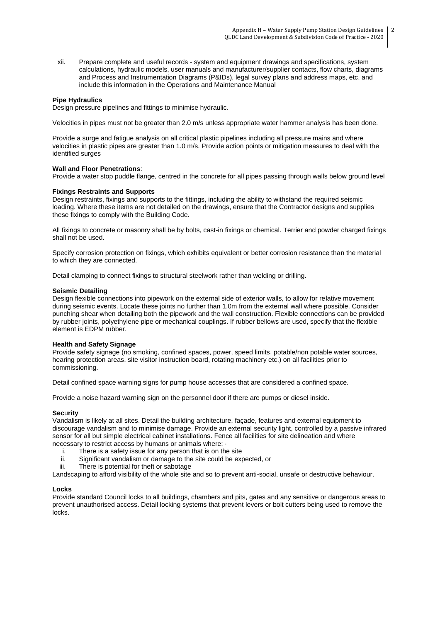xii. Prepare complete and useful records - system and equipment drawings and specifications, system calculations, hydraulic models, user manuals and manufacturer/supplier contacts, flow charts, diagrams and Process and Instrumentation Diagrams (P&IDs), legal survey plans and address maps, etc. and include this information in the Operations and Maintenance Manual

#### **Pipe Hydraulics**

Design pressure pipelines and fittings to minimise hydraulic.

Velocities in pipes must not be greater than 2.0 m/s unless appropriate water hammer analysis has been done.

Provide a surge and fatigue analysis on all critical plastic pipelines including all pressure mains and where velocities in plastic pipes are greater than 1.0 m/s. Provide action points or mitigation measures to deal with the identified surges

#### **Wall and Floor Penetrations**:

Provide a water stop puddle flange, centred in the concrete for all pipes passing through walls below ground level

#### **Fixings Restraints and Supports**

Design restraints, fixings and supports to the fittings, including the ability to withstand the required seismic loading. Where these items are not detailed on the drawings, ensure that the Contractor designs and supplies these fixings to comply with the Building Code.

All fixings to concrete or masonry shall be by bolts, cast-in fixings or chemical. Terrier and powder charged fixings shall not be used.

Specify corrosion protection on fixings, which exhibits equivalent or better corrosion resistance than the material to which they are connected.

Detail clamping to connect fixings to structural steelwork rather than welding or drilling.

#### **Seismic Detailing**

Design flexible connections into pipework on the external side of exterior walls, to allow for relative movement during seismic events. Locate these joints no further than 1.0m from the external wall where possible. Consider punching shear when detailing both the pipework and the wall construction. Flexible connections can be provided by rubber joints, polyethylene pipe or mechanical couplings. If rubber bellows are used, specify that the flexible element is EDPM rubber.

#### **Health and Safety Signage**

Provide safety signage (no smoking, confined spaces, power, speed limits, potable/non potable water sources, hearing protection areas, site visitor instruction board, rotating machinery etc.) on all facilities prior to commissioning.

Detail confined space warning signs for pump house accesses that are considered a confined space.

Provide a noise hazard warning sign on the personnel door if there are pumps or diesel inside.

#### **Sec**u**rity**

Vandalism is likely at all sites. Detail the building architecture, façade, features and external equipment to discourage vandalism and to minimise damage. Provide an external security light, controlled by a passive infrared sensor for all but simple electrical cabinet installations. Fence all facilities for site delineation and where necessary to restrict access by humans or animals where: ·

- i. There is a safety issue for any person that is on the site
- ii. Significant vandalism or damage to the site could be expected, or
- iii. There is potential for theft or sabotage

Landscaping to afford visibility of the whole site and so to prevent anti-social, unsafe or destructive behaviour.

#### **Locks**

Provide standard Council locks to all buildings, chambers and pits, gates and any sensitive or dangerous areas to prevent unauthorised access. Detail locking systems that prevent levers or bolt cutters being used to remove the locks.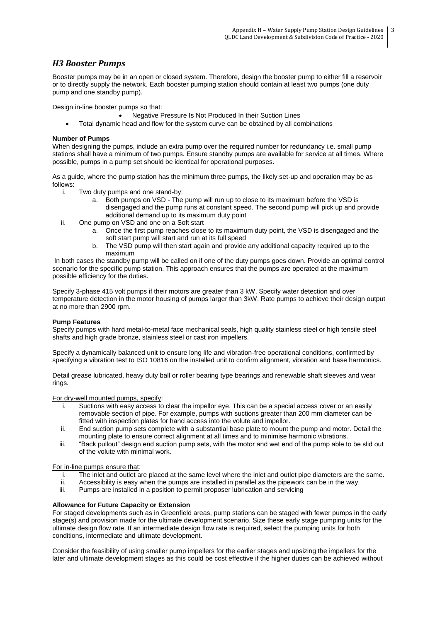# *H3 Booster Pumps*

Booster pumps may be in an open or closed system. Therefore, design the booster pump to either fill a reservoir or to directly supply the network. Each booster pumping station should contain at least two pumps (one duty pump and one standby pump).

Design in-line booster pumps so that:

- Negative Pressure Is Not Produced In their Suction Lines
- Total dynamic head and flow for the system curve can be obtained by all combinations

### **Number of Pumps**

When designing the pumps, include an extra pump over the required number for redundancy i.e. small pump stations shall have a minimum of two pumps. Ensure standby pumps are available for service at all times. Where possible, pumps in a pump set should be identical for operational purposes.

As a guide, where the pump station has the minimum three pumps, the likely set-up and operation may be as follows:

- i. Two duty pumps and one stand-by:
	- a. Both pumps on VSD The pump will run up to close to its maximum before the VSD is disengaged and the pump runs at constant speed. The second pump will pick up and provide additional demand up to its maximum duty point
- ii. One pump on VSD and one on a Soft start
	- a. Once the first pump reaches close to its maximum duty point, the VSD is disengaged and the soft start pump will start and run at its full speed
	- b. The VSD pump will then start again and provide any additional capacity required up to the maximum

In both cases the standby pump will be called on if one of the duty pumps goes down. Provide an optimal control scenario for the specific pump station. This approach ensures that the pumps are operated at the maximum possible efficiency for the duties.

Specify 3-phase 415 volt pumps if their motors are greater than 3 kW. Specify water detection and over temperature detection in the motor housing of pumps larger than 3kW. Rate pumps to achieve their design output at no more than 2900 rpm.

### **Pump Features**

Specify pumps with hard metal-to-metal face mechanical seals, high quality stainless steel or high tensile steel shafts and high grade bronze, stainless steel or cast iron impellers.

Specify a dynamically balanced unit to ensure long life and vibration-free operational conditions, confirmed by specifying a vibration test to ISO 10816 on the installed unit to confirm alignment, vibration and base harmonics.

Detail grease lubricated, heavy duty ball or roller bearing type bearings and renewable shaft sleeves and wear rings.

For dry-well mounted pumps, specify:

- i. Suctions with easy access to clear the impellor eye. This can be a special access cover or an easily removable section of pipe. For example, pumps with suctions greater than 200 mm diameter can be fitted with inspection plates for hand access into the volute and impellor.
- ii. End suction pump sets complete with a substantial base plate to mount the pump and motor. Detail the mounting plate to ensure correct alignment at all times and to minimise harmonic vibrations.
- iii. "Back pullout" design end suction pump sets, with the motor and wet end of the pump able to be slid out of the volute with minimal work.

For in-line pumps ensure that:

- i. The inlet and outlet are placed at the same level where the inlet and outlet pipe diameters are the same.<br>ii. Accessibility is easy when the pumps are installed in parallel as the pipework can be in the way.
- Accessibility is easy when the pumps are installed in parallel as the pipework can be in the way.
- iii. Pumps are installed in a position to permit proposer lubrication and servicing

### **Allowance for Future Capacity or Extension**

For staged developments such as in Greenfield areas, pump stations can be staged with fewer pumps in the early stage(s) and provision made for the ultimate development scenario. Size these early stage pumping units for the ultimate design flow rate. If an intermediate design flow rate is required, select the pumping units for both conditions, intermediate and ultimate development.

Consider the feasibility of using smaller pump impellers for the earlier stages and upsizing the impellers for the later and ultimate development stages as this could be cost effective if the higher duties can be achieved without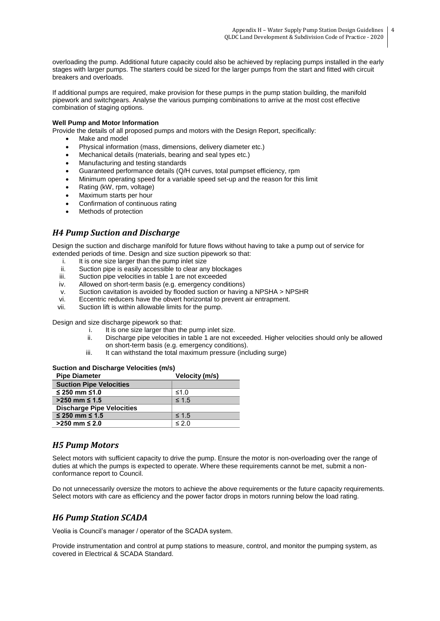overloading the pump. Additional future capacity could also be achieved by replacing pumps installed in the early stages with larger pumps. The starters could be sized for the larger pumps from the start and fitted with circuit breakers and overloads.

If additional pumps are required, make provision for these pumps in the pump station building, the manifold pipework and switchgears. Analyse the various pumping combinations to arrive at the most cost effective combination of staging options.

#### **Well Pump and Motor Information**

Provide the details of all proposed pumps and motors with the Design Report, specifically:

- Make and model
- Physical information (mass, dimensions, delivery diameter etc.)
- Mechanical details (materials, bearing and seal types etc.)
- Manufacturing and testing standards
- Guaranteed performance details (Q/H curves, total pumpset efficiency, rpm
- Minimum operating speed for a variable speed set-up and the reason for this limit
- Rating (kW, rpm, voltage)
- Maximum starts per hour
- Confirmation of continuous rating
- Methods of protection

### *H4 Pump Suction and Discharge*

Design the suction and discharge manifold for future flows without having to take a pump out of service for extended periods of time. Design and size suction pipework so that:

- i. It is one size larger than the pump inlet size
- ii. Suction pipe is easily accessible to clear any blockages<br>iii. Suction pipe velocities in table 1 are not exceeded
- iii. Suction pipe velocities in table 1 are not exceeded<br>iv. Allowed on short-term basis (e.g. emergency cond
- Allowed on short-term basis (e.g. emergency conditions)
- v. Suction cavitation is avoided by flooded suction or having a NPSHA > NPSHR
- vi. Eccentric reducers have the obvert horizontal to prevent air entrapment.
- vii. Suction lift is within allowable limits for the pump.

Design and size discharge pipework so that:

- i. It is one size larger than the pump inlet size.
- ii. Discharge pipe velocities in table 1 are not exceeded. Higher velocities should only be allowed on short-term basis (e.g. emergency conditions).
- iii. It can withstand the total maximum pressure (including surge)

#### **Suction and Discharge Velocities (m/s)**

| <b>Pipe Diameter</b>             | Velocity (m/s) |
|----------------------------------|----------------|
| <b>Suction Pipe Velocities</b>   |                |
| $≤$ 250 mm ≤1.0                  | ≤1.0           |
| $>250$ mm ≤ 1.5                  | $\leq 1.5$     |
| <b>Discharge Pipe Velocities</b> |                |
| $≤ 250$ mm $≤ 1.5$               | $\leq 1.5$     |
| $>250$ mm ≤ 2.0                  | $\leq$ 2.0     |

## *H5 Pump Motors*

Select motors with sufficient capacity to drive the pump. Ensure the motor is non-overloading over the range of duties at which the pumps is expected to operate. Where these requirements cannot be met, submit a nonconformance report to Council.

Do not unnecessarily oversize the motors to achieve the above requirements or the future capacity requirements. Select motors with care as efficiency and the power factor drops in motors running below the load rating.

## *H6 Pump Station SCADA*

Veolia is Council's manager / operator of the SCADA system.

Provide instrumentation and control at pump stations to measure, control, and monitor the pumping system, as covered in Electrical & SCADA Standard.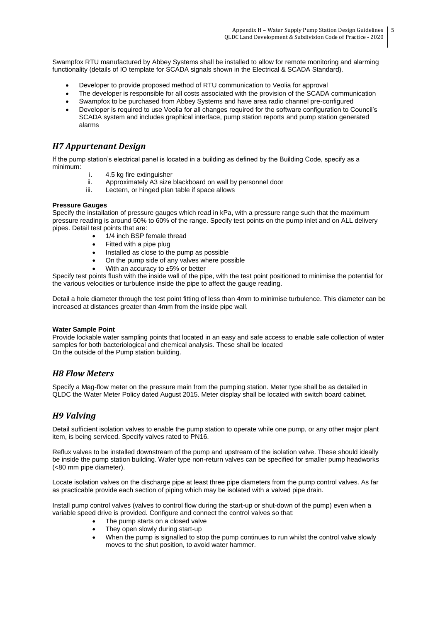Swampfox RTU manufactured by Abbey Systems shall be installed to allow for remote monitoring and alarming functionality (details of IO template for SCADA signals shown in the Electrical & SCADA Standard).

- Developer to provide proposed method of RTU communication to Veolia for approval
- The developer is responsible for all costs associated with the provision of the SCADA communication
- Swampfox to be purchased from Abbey Systems and have area radio channel pre-configured
- Developer is required to use Veolia for all changes required for the software configuration to Council's SCADA system and includes graphical interface, pump station reports and pump station generated alarms

## *H7 Appurtenant Design*

If the pump station's electrical panel is located in a building as defined by the Building Code, specify as a minimum:

- i. 4.5 kg fire extinguisher<br>ii. Approximately A3 size
- Approximately A3 size blackboard on wall by personnel door
- iii. Lectern, or hinged plan table if space allows

### **Pressure Gauges**

Specify the installation of pressure gauges which read in kPa, with a pressure range such that the maximum pressure reading is around 50% to 60% of the range. Specify test points on the pump inlet and on ALL delivery pipes. Detail test points that are:

- 1/4 inch BSP female thread
- Fitted with a pipe plug
- Installed as close to the pump as possible
- On the pump side of any valves where possible
- With an accuracy to  $±5%$  or better

Specify test points flush with the inside wall of the pipe, with the test point positioned to minimise the potential for the various velocities or turbulence inside the pipe to affect the gauge reading.

Detail a hole diameter through the test point fitting of less than 4mm to minimise turbulence. This diameter can be increased at distances greater than 4mm from the inside pipe wall.

#### **Water Sample Point**

Provide lockable water sampling points that located in an easy and safe access to enable safe collection of water samples for both bacteriological and chemical analysis. These shall be located On the outside of the Pump station building.

## *H8 Flow Meters*

Specify a Mag-flow meter on the pressure main from the pumping station. Meter type shall be as detailed in QLDC the Water Meter Policy dated August 2015. Meter display shall be located with switch board cabinet.

## *H9 Valving*

Detail sufficient isolation valves to enable the pump station to operate while one pump, or any other major plant item, is being serviced. Specify valves rated to PN16.

Reflux valves to be installed downstream of the pump and upstream of the isolation valve. These should ideally be inside the pump station building. Wafer type non-return valves can be specified for smaller pump headworks (<80 mm pipe diameter).

Locate isolation valves on the discharge pipe at least three pipe diameters from the pump control valves. As far as practicable provide each section of piping which may be isolated with a valved pipe drain.

Install pump control valves (valves to control flow during the start-up or shut-down of the pump) even when a variable speed drive is provided. Configure and connect the control valves so that:

- The pump starts on a closed valve
- They open slowly during start-up
- When the pump is signalled to stop the pump continues to run whilst the control valve slowly moves to the shut position, to avoid water hammer.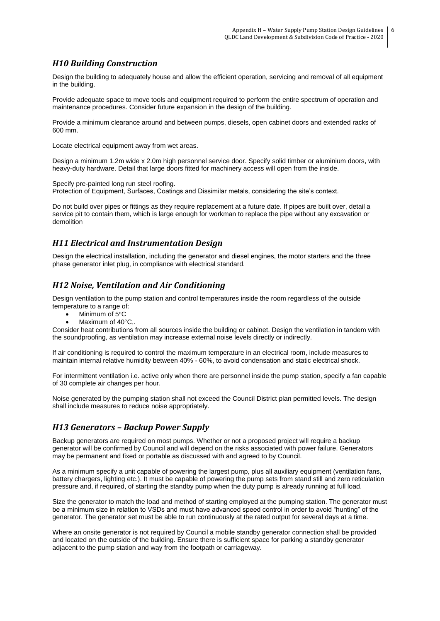# *H10 Building Construction*

Design the building to adequately house and allow the efficient operation, servicing and removal of all equipment in the building.

Provide adequate space to move tools and equipment required to perform the entire spectrum of operation and maintenance procedures. Consider future expansion in the design of the building.

Provide a minimum clearance around and between pumps, diesels, open cabinet doors and extended racks of 600 mm.

Locate electrical equipment away from wet areas.

Design a minimum 1.2m wide x 2.0m high personnel service door. Specify solid timber or aluminium doors, with heavy-duty hardware. Detail that large doors fitted for machinery access will open from the inside.

Specify pre-painted long run steel roofing.

Protection of Equipment, Surfaces, Coatings and Dissimilar metals, considering the site's context.

Do not build over pipes or fittings as they require replacement at a future date. If pipes are built over, detail a service pit to contain them, which is large enough for workman to replace the pipe without any excavation or demolition

## *H11 Electrical and Instrumentation Design*

Design the electrical installation, including the generator and diesel engines, the motor starters and the three phase generator inlet plug, in compliance with electrical standard.

## *H12 Noise, Ventilation and Air Conditioning*

Design ventilation to the pump station and control temperatures inside the room regardless of the outside temperature to a range of:

- Minimum of 5°C
- Maximum of 40°C,.

Consider heat contributions from all sources inside the building or cabinet. Design the ventilation in tandem with the soundproofing, as ventilation may increase external noise levels directly or indirectly.

If air conditioning is required to control the maximum temperature in an electrical room, include measures to maintain internal relative humidity between 40% - 60%, to avoid condensation and static electrical shock.

For intermittent ventilation i.e. active only when there are personnel inside the pump station, specify a fan capable of 30 complete air changes per hour.

Noise generated by the pumping station shall not exceed the Council District plan permitted levels. The design shall include measures to reduce noise appropriately.

## *H13 Generators – Backup Power Supply*

Backup generators are required on most pumps. Whether or not a proposed project will require a backup generator will be confirmed by Council and will depend on the risks associated with power failure. Generators may be permanent and fixed or portable as discussed with and agreed to by Council.

As a minimum specify a unit capable of powering the largest pump, plus all auxiliary equipment (ventilation fans, battery chargers, lighting etc.). It must be capable of powering the pump sets from stand still and zero reticulation pressure and, if required, of starting the standby pump when the duty pump is already running at full load.

Size the generator to match the load and method of starting employed at the pumping station. The generator must be a minimum size in relation to VSDs and must have advanced speed control in order to avoid "hunting" of the generator. The generator set must be able to run continuously at the rated output for several days at a time.

Where an onsite generator is not required by Council a mobile standby generator connection shall be provided and located on the outside of the building. Ensure there is sufficient space for parking a standby generator adjacent to the pump station and way from the footpath or carriageway.